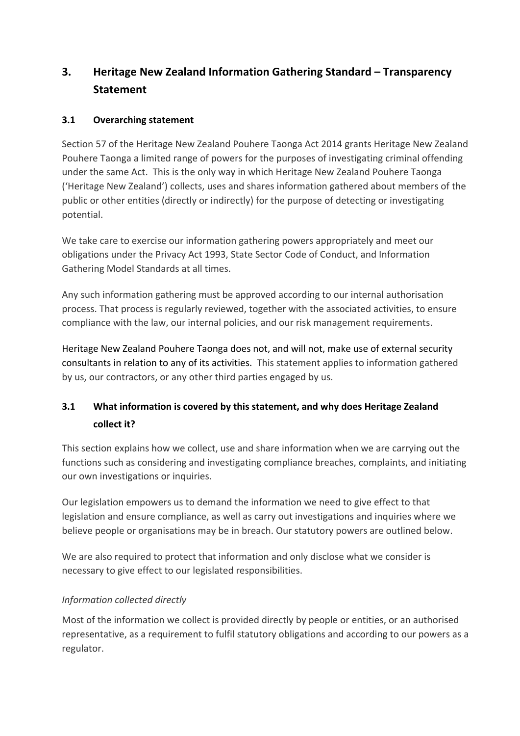# **3. Heritage New Zealand Information Gathering Standard – Transparency Statement**

## **3.1 Overarching statement**

Section 57 of the Heritage New Zealand Pouhere Taonga Act 2014 grants Heritage New Zealand Pouhere Taonga a limited range of powers for the purposes of investigating criminal offending under the same Act. This is the only way in which Heritage New Zealand Pouhere Taonga ('Heritage New Zealand') collects, uses and shares information gathered about members of the public or other entities (directly or indirectly) for the purpose of detecting or investigating potential.

We take care to exercise our information gathering powers appropriately and meet our obligations under the Privacy Act 1993, State Sector Code of Conduct, and Information Gathering Model Standards at all times.

Any such information gathering must be approved according to our internal authorisation process. That process is regularly reviewed, together with the associated activities, to ensure compliance with the law, our internal policies, and our risk management requirements.

Heritage New Zealand Pouhere Taonga does not, and will not, make use of external security consultants in relation to any of its activities. This statement applies to information gathered by us, our contractors, or any other third parties engaged by us.

## **3.1 What information is covered by this statement, and why does Heritage Zealand collect it?**

This section explains how we collect, use and share information when we are carrying out the functions such as considering and investigating compliance breaches, complaints, and initiating our own investigations or inquiries.

Our legislation empowers us to demand the information we need to give effect to that legislation and ensure compliance, as well as carry out investigations and inquiries where we believe people or organisations may be in breach. Our statutory powers are outlined below.

We are also required to protect that information and only disclose what we consider is necessary to give effect to our legislated responsibilities.

## *Information collected directly*

Most of the information we collect is provided directly by people or entities, or an authorised representative, as a requirement to fulfil statutory obligations and according to our powers as a regulator.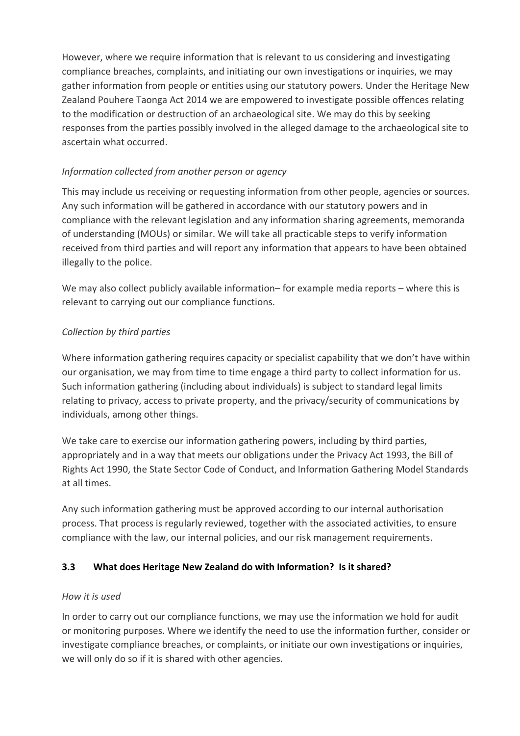However, where we require information that is relevant to us considering and investigating compliance breaches, complaints, and initiating our own investigations or inquiries, we may gather information from people or entities using our statutory powers. Under the Heritage New Zealand Pouhere Taonga Act 2014 we are empowered to investigate possible offences relating to the modification or destruction of an archaeological site. We may do this by seeking responses from the parties possibly involved in the alleged damage to the archaeological site to ascertain what occurred.

## *Information collected from another person or agency*

This may include us receiving or requesting information from other people, agencies or sources. Any such information will be gathered in accordance with our statutory powers and in compliance with the relevant legislation and any information sharing agreements, memoranda of understanding (MOUs) or similar. We will take all practicable steps to verify information received from third parties and will report any information that appears to have been obtained illegally to the police.

We may also collect publicly available information– for example media reports – where this is relevant to carrying out our compliance functions.

## *Collection by third parties*

Where information gathering requires capacity or specialist capability that we don't have within our organisation, we may from time to time engage a third party to collect information for us. Such information gathering (including about individuals) is subject to standard legal limits relating to privacy, access to private property, and the privacy/security of communications by individuals, among other things.

We take care to exercise our information gathering powers, including by third parties, appropriately and in a way that meets our obligations under the Privacy Act 1993, the Bill of Rights Act 1990, the State Sector Code of Conduct, and Information Gathering Model Standards at all times.

Any such information gathering must be approved according to our internal authorisation process. That process is regularly reviewed, together with the associated activities, to ensure compliance with the law, our internal policies, and our risk management requirements.

## **3.3 What does Heritage New Zealand do with Information? Is it shared?**

#### *How it is used*

In order to carry out our compliance functions, we may use the information we hold for audit or monitoring purposes. Where we identify the need to use the information further, consider or investigate compliance breaches, or complaints, or initiate our own investigations or inquiries, we will only do so if it is shared with other agencies.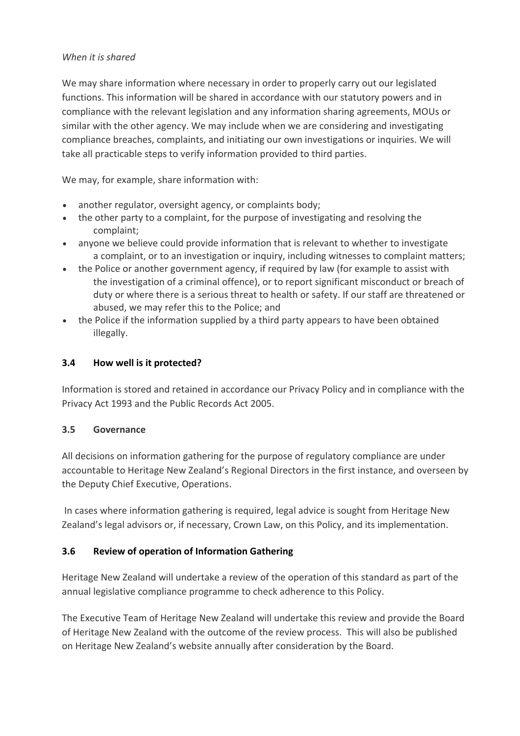#### *When it is shared*

We may share information where necessary in order to properly carry out our legislated functions. This information will be shared in accordance with our statutory powers and in compliance with the relevant legislation and any information sharing agreements, MOUs or similar with the other agency. We may include when we are considering and investigating compliance breaches, complaints, and initiating our own investigations or inquiries. We will take all practicable steps to verify information provided to third parties.

We may, for example, share information with:

- another regulator, oversight agency, or complaints body;
- the other party to a complaint, for the purpose of investigating and resolving the complaint;
- anyone we believe could provide information that is relevant to whether to investigate a complaint, or to an investigation or inquiry, including witnesses to complaint matters;
- the Police or another government agency, if required by law (for example to assist with the investigation of a criminal offence), or to report significant misconduct or breach of duty or where there is a serious threat to health or safety. If our staff are threatened or abused, we may refer this to the Police; and
- the Police if the information supplied by a third party appears to have been obtained illegally.

#### **3.4 How well is it protected?**

Information is stored and retained in accordance our Privacy Policy and in compliance with the Privacy Act 1993 and the Public Records Act 2005.

#### **3.5 Governance**

All decisions on information gathering for the purpose of regulatory compliance are under accountable to Heritage New Zealand's Regional Directors in the first instance, and overseen by the Deputy Chief Executive, Operations.

In cases where information gathering is required, legal advice is sought from Heritage New Zealand's legal advisors or, if necessary, Crown Law, on this Policy, and its implementation.

#### **3.6 Review of operation of Information Gathering**

Heritage New Zealand will undertake a review of the operation of this standard as part of the annual legislative compliance programme to check adherence to this Policy.

The Executive Team of Heritage New Zealand will undertake this review and provide the Board of Heritage New Zealand with the outcome of the review process. This will also be published on Heritage New Zealand's website annually after consideration by the Board.